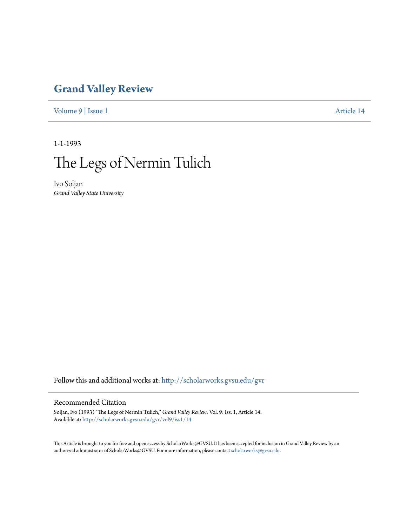## **[Grand Valley Review](http://scholarworks.gvsu.edu/gvr?utm_source=scholarworks.gvsu.edu%2Fgvr%2Fvol9%2Fiss1%2F14&utm_medium=PDF&utm_campaign=PDFCoverPages)**

[Volume 9](http://scholarworks.gvsu.edu/gvr/vol9?utm_source=scholarworks.gvsu.edu%2Fgvr%2Fvol9%2Fiss1%2F14&utm_medium=PDF&utm_campaign=PDFCoverPages) | [Issue 1](http://scholarworks.gvsu.edu/gvr/vol9/iss1?utm_source=scholarworks.gvsu.edu%2Fgvr%2Fvol9%2Fiss1%2F14&utm_medium=PDF&utm_campaign=PDFCoverPages) [Article 14](http://scholarworks.gvsu.edu/gvr/vol9/iss1/14?utm_source=scholarworks.gvsu.edu%2Fgvr%2Fvol9%2Fiss1%2F14&utm_medium=PDF&utm_campaign=PDFCoverPages)

1-1-1993



Ivo Soljan *Grand Valley State University*

Follow this and additional works at: [http://scholarworks.gvsu.edu/gvr](http://scholarworks.gvsu.edu/gvr?utm_source=scholarworks.gvsu.edu%2Fgvr%2Fvol9%2Fiss1%2F14&utm_medium=PDF&utm_campaign=PDFCoverPages)

## Recommended Citation

Soljan, Ivo (1993) "The Legs of Nermin Tulich," *Grand Valley Review*: Vol. 9: Iss. 1, Article 14. Available at: [http://scholarworks.gvsu.edu/gvr/vol9/iss1/14](http://scholarworks.gvsu.edu/gvr/vol9/iss1/14?utm_source=scholarworks.gvsu.edu%2Fgvr%2Fvol9%2Fiss1%2F14&utm_medium=PDF&utm_campaign=PDFCoverPages)

This Article is brought to you for free and open access by ScholarWorks@GVSU. It has been accepted for inclusion in Grand Valley Review by an authorized administrator of ScholarWorks@GVSU. For more information, please contact [scholarworks@gvsu.edu.](mailto:scholarworks@gvsu.edu)